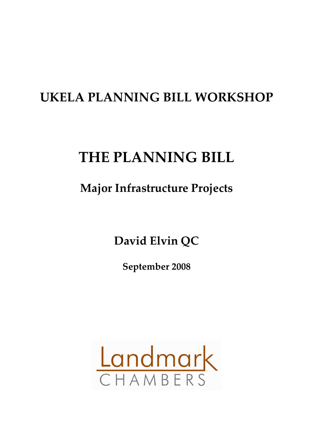# **UKELA PLANNING BILL WORKSHOP**

# **THE PLANNING BILL**

# **Major Infrastructure Projects**

**David Elvin QC**

**September 2008**

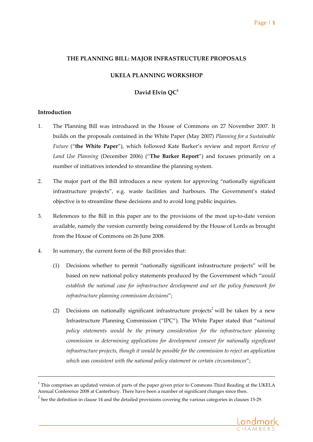#### **THE PLANNING BILL: MAJOR INFRASTRUCTURE PROPOSALS**

#### **UKELA PLANNING WORKSHOP**

## **David Elvin QC<sup>1</sup>**

#### **Introduction**

- 1. The Planning Bill was introduced in the House of Commons on 27 November 2007. It builds on the proposals contained in the White Paper (May 2007) *Planning for a Sustainable Future* ("**the White Paper**"), which followed Kate Barker's review and report *Review of Land Use Planning* (December 2006) ("**The Barker Report**") and focuses primarily on a number of initiatives intended to streamline the planning system.
- 2. The major part of the Bill introduces a new system for approving "nationally significant infrastructure projects", e.g. waste facilities and harbours. The Government's stated objective is to streamline these decisions and to avoid long public inquiries.
- 3. References to the Bill in this paper are to the provisions of the most up‐to‐date version available, namely the version currently being considered by the House of Lords as brought from the House of Commons on 26 June 2008.
- 4. In summary, the current form of the Bill provides that:
	- (1) Decisions whether to permit "nationally significant infrastructure projects" will be based on new national policy statements produced by the Government which "*would establish the national case for infrastructure development and set the policy framework for infrastructure planning commission decisions*";
	- (2) Decisions on nationally significant infrastructure projects<sup>2</sup> will be taken by a new Infrastructure Planning Commission ("IPC"). The White Paper stated that "*national policy statements would be the primary consideration for the infrastructure planning commission in determining applications for development consent for nationally significant infrastructure projects, though it would be possible for the commission to reject an application which was consistent with the national policy statement in certain circumstances*";

 $2$  See the definition in clause 14 and the detailed provisions covering the various categories in clauses 15-29.



 $1$  This comprises an updated version of parts of the paper given prior to Commons Third Reading at the UKELA Annual Conference 2008 at Canterbury. There have been a number of significant changes since then.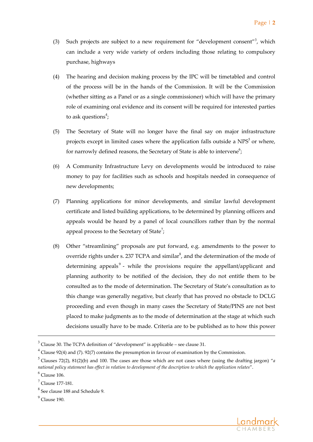- (3) Such projects are subject to a new requirement for "development consent"<sup>3</sup>, which can include a very wide variety of orders including those relating to compulsory purchase, highways
- (4) The hearing and decision making process by the IPC will be timetabled and control of the process will be in the hands of the Commission. It will be the Commission (whether sitting as a Panel or as a single commissioner) which will have the primary role of examining oral evidence and its consent will be required for interested parties to ask questions $\degree$ ;
- (5) The Secretary of State will no longer have the final say on major infrastructure projects except in limited cases where the application falls outside a  $NPS<sup>5</sup>$  or where, for narrowly defined reasons, the Secretary of State is able to intervene $^6;$
- (6) A Community Infrastructure Levy on developments would be introduced to raise money to pay for facilities such as schools and hospitals needed in consequence of new developments;
- (7) Planning applications for minor developments, and similar lawful development certificate and listed building applications, to be determined by planning officers and appeals would be heard by a panel of local councillors rather than by the normal appeal process to the Secretary of State<sup>7</sup>;
- (8) Other "streamlining" proposals are put forward, e.g. amendments to the power to override rights under s. 237 TCPA and similar $^8$ , and the determination of the mode of determining appeals<sup>9</sup> - while the provisions require the appellant/applicant and planning authority to be notified of the decision, they do not entitle them to be consulted as to the mode of determination. The Secretary of State's consultation as to this change was generally negative, but clearly that has proved no obstacle to DCLG proceeding and even though in many cases the Secretary of State/PINS are not best placed to make judgments as to the mode of determination at the stage at which such decisions usually have to be made. Criteria are to be published as to how this power



 $3$  Clause 30. The TCPA definition of "development" is applicable – see clause 31.

 $4$  Clause 92(4) and (7). 92(7) contains the presumption in favour of examination by the Commission.

 $<sup>5</sup>$  Clauses 72(2), 81(2)(b) and 100. The cases are those which are not cases where (using the drafting jargon) "*a*</sup> national policy statement has effect in relation to development of the description to which the application relates".

 $<sup>6</sup>$  Clause 106.</sup>

 $^7$  Clause 177-181.

<sup>8</sup> See clause <sup>188</sup> and Schedule 9.

 $<sup>9</sup>$  Clause 190.</sup>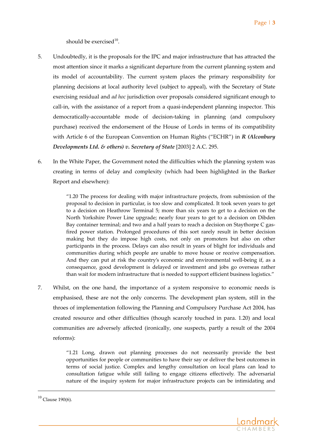should be exercised $10$ .

- 5. Undoubtedly, it is the proposals for the IPC and major infrastructure that has attracted the most attention since it marks a significant departure from the current planning system and its model of accountability. The current system places the primary responsibility for planning decisions at local authority level (subject to appeal), with the Secretary of State exercising residual and *ad hoc* jurisdiction over proposals considered significant enough to call-in, with the assistance of a report from a quasi-independent planning inspector. This democratically‐accountable mode of decision‐taking in planning (and compulsory purchase) received the endorsement of the House of Lords in terms of its compatibility with Article 6 of the European Convention on Human Rights ("ECHR") in *R (Alconbury Developments Ltd. & others) v. Secretary of State* [2003] 2 A.C. 295.
- 6. In the White Paper, the Government noted the difficulties which the planning system was creating in terms of delay and complexity (which had been highlighted in the Barker Report and elsewhere):

"1.20 The process for dealing with major infrastructure projects, from submission of the proposal to decision in particular, is too slow and complicated. It took seven years to get to a decision on Heathrow Terminal 5; more than six years to get to a decision on the North Yorkshire Power Line upgrade; nearly four years to get to a decision on Dibden Bay container terminal; and two and a half years to reach a decision on Staythorpe C gasfired power station. Prolonged procedures of this sort rarely result in better decision making but they do impose high costs, not only on promoters but also on other participants in the process. Delays can also result in years of blight for individuals and communities during which people are unable to move house or receive compensation. And they can put at risk the country's economic and environmental well‐being if, as a consequence, good development is delayed or investment and jobs go overseas rather than wait for modern infrastructure that is needed to support efficient business logistics."

7. Whilst, on the one hand, the importance of a system responsive to economic needs is emphasised, these are not the only concerns. The development plan system, still in the throes of implementation following the Planning and Compulsory Purchase Act 2004, has created resource and other difficulties (though scarcely touched in para. 1.20) and local communities are adversely affected (ironically, one suspects, partly a result of the 2004 reforms):

"1.21 Long, drawn out planning processes do not necessarily provide the best opportunities for people or communities to have their say or deliver the best outcomes in terms of social justice. Complex and lengthy consultation on local plans can lead to consultation fatigue while still failing to engage citizens effectively. The adversarial nature of the inquiry system for major infrastructure projects can be intimidating and



 $10$  Clause 190(6).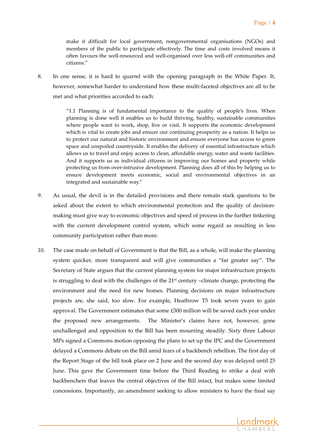make it difficult for local government, nongovernmental organisations (NGOs) and members of the public to participate effectively. The time and costs involved means it often favours the well‐resourced and well‐organised over less well‐off communities and citizens."

8. In one sense, it is hard to quarrel with the opening paragraph in the White Paper. It, however, somewhat harder to understand how these multi-faceted objectives are all to be met and what priorities accorded to each:

> "1.1 Planning is of fundamental importance to the quality of people's lives. When planning is done well it enables us to build thriving, healthy, sustainable communities where people want to work, shop, live or visit. It supports the economic development which is vital to create jobs and ensure our continuing prosperity as a nation. It helps us to protect our natural and historic environment and ensure everyone has access to green space and unspoiled countryside. It enables the delivery of essential infrastructure which allows us to travel and enjoy access to clean, affordable energy, water and waste facilities. And it supports us as individual citizens in improving our homes and property while protecting us from over‐intrusive development. Planning does all of this by helping us to ensure development meets economic, social and environmental objectives in an integrated and sustainable way."

- 9. As usual, the devil is in the detailed provisions and there remain stark questions to be asked about the extent to which environmental protection and the quality of decision‐ making must give way to economic objectives and speed of process in the further tinkering with the current development control system, which some regard as resulting in less community participation rather than more.
- 10. The case made on behalf of Government is that the Bill, as a whole, will make the planning system quicker, more transparent and will give communities a "far greater say". The Secretary of State argues that the current planning system for major infrastructure projects is struggling to deal with the challenges of the  $21<sup>st</sup>$  century –climate change, protecting the environment and the need for new homes. Planning decisions on major infrastructure projects are, she said, too slow. For example, Heathrow T5 took seven years to gain approval. The Government estimates that some  $£300$  million will be saved each year under the proposed new arrangements. The Minister's claims have not, however, gone unchallenged and opposition to the Bill has been mounting steadily. Sixty three Labour MPs signed a Commons motion opposing the plans to set up the IPC and the Government delayed a Commons debate on the Bill amid fears of a backbench rebellion. The first day of the Report Stage of the bill took place on 2 June and the second day was delayed until 25 June. This gave the Government time before the Third Reading to strike a deal with backbenchers that leaves the central objectives of the Bill intact, but makes some limited concessions. Importantly, an amendment seeking to allow ministers to have the final say

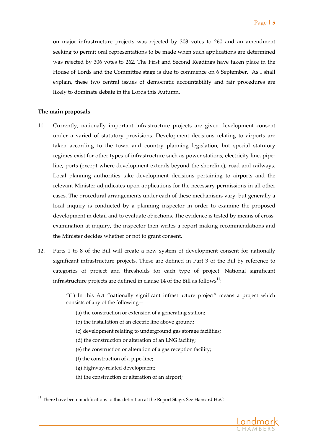on major infrastructure projects was rejected by 303 votes to 260 and an amendment seeking to permit oral representations to be made when such applications are determined was rejected by 306 votes to 262. The First and Second Readings have taken place in the House of Lords and the Committee stage is due to commence on 6 September. As I shall explain, these two central issues of democratic accountability and fair procedures are likely to dominate debate in the Lords this Autumn.

#### **The main proposals**

- 11. Currently, nationally important infrastructure projects are given development consent under a varied of statutory provisions. Development decisions relating to airports are taken according to the town and country planning legislation, but special statutory regimes exist for other types of infrastructure such as power stations, electricity line, pipe‐ line, ports (except where development extends beyond the shoreline), road and railways. Local planning authorities take development decisions pertaining to airports and the relevant Minister adjudicates upon applications for the necessary permissions in all other cases. The procedural arrangements under each of these mechanisms vary, but generally a local inquiry is conducted by a planning inspector in order to examine the proposed development in detail and to evaluate objections. The evidence is tested by means of crossexamination at inquiry, the inspector then writes a report making recommendations and the Minister decides whether or not to grant consent.
- 12. Parts 1 to 8 of the Bill will create a new system of development consent for nationally significant infrastructure projects. These are defined in Part 3 of the Bill by reference to categories of project and thresholds for each type of project. National significant infrastructure projects are defined in clause 14 of the Bill as follows $^{\rm 11}$ :

"(1) In this Act "nationally significant infrastructure project" means a project which consists of any of the following—

(a) the construction or extension of a generating station;

(b) the installation of an electric line above ground;

(c) development relating to underground gas storage facilities;

- (d) the construction or alteration of an LNG facility;
- (e) the construction or alteration of a gas reception facility;
- (f) the construction of a pipe‐line;
- (g) highway‐related development;
- (h) the construction or alteration of an airport;

 $11$  There have been modifications to this definition at the Report Stage. See Hansard HoC

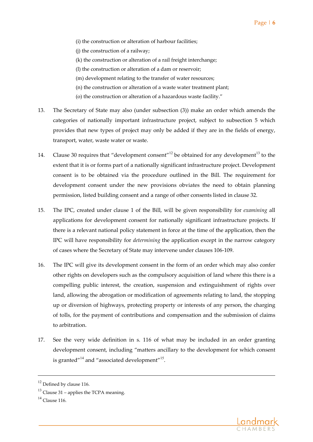- (i) the construction or alteration of harbour facilities;
- (j) the construction of a railway;
- (k) the construction or alteration of a rail freight interchange;
- (l) the construction or alteration of a dam or reservoir;
- (m) development relating to the transfer of water resources;
- (n) the construction or alteration of a waste water treatment plant;
- (o) the construction or alteration of a hazardous waste facility."
- 13. The Secretary of State may also (under subsection (3)) make an order which amends the categories of nationally important infrastructure project, subject to subsection 5 which provides that new types of project may only be added if they are in the fields of energy, transport, water, waste water or waste.
- 14. Clause 30 requires that "development consent"<sup>12</sup> be obtained for any development<sup>13</sup> to the extent that it is or forms part of a nationally significant infrastructure project. Development consent is to be obtained via the procedure outlined in the Bill. The requirement for development consent under the new provisions obviates the need to obtain planning permission, listed building consent and a range of other consents listed in clause 32.
- 15. The IPC, created under clause 1 of the Bill, will be given responsibility for *examining* all applications for development consent for nationally significant infrastructure projects. If there is a relevant national policy statement in force at the time of the application, then the IPC will have responsibility for *determining* the application except in the narrow category of cases where the Secretary of State may intervene under clauses 106‐109.
- 16. The IPC will give its development consent in the form of an order which may also confer other rights on developers such as the compulsory acquisition of land where this there is a compelling public interest, the creation, suspension and extinguishment of rights over land, allowing the abrogation or modification of agreements relating to land, the stopping up or diversion of highways, protecting property or interests of any person, the charging of tolls, for the payment of contributions and compensation and the submission of claims to arbitration.
- 17. See the very wide definition in s. 116 of what may be included in an order granting development consent, including "matters ancillary to the development for which consent is granted"<sup>14</sup> and "associated development"<sup>15</sup>.



 $12$  Defined by clause 116.

 $13$  Clause 31 – applies the TCPA meaning.

 $^{14}$  Clause 116.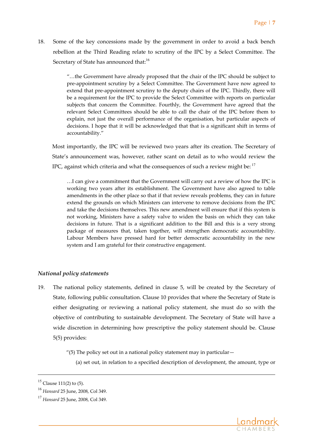18. Some of the key concessions made by the government in order to avoid a back bench rebellion at the Third Reading relate to scrutiny of the IPC by a Select Committee. The Secretary of State has announced that:<sup>16</sup>

> "…the Government have already proposed that the chair of the IPC should be subject to pre‐appointment scrutiny by a Select Committee. The Government have now agreed to extend that pre‐appointment scrutiny to the deputy chairs of the IPC. Thirdly, there will be a requirement for the IPC to provide the Select Committee with reports on particular subjects that concern the Committee. Fourthly, the Government have agreed that the relevant Select Committees should be able to call the chair of the IPC before them to explain, not just the overall performance of the organisation, but particular aspects of decisions. I hope that it will be acknowledged that that is a significant shift in terms of accountability."

Most importantly, the IPC will be reviewed two years after its creation. The Secretary of State's announcement was, however, rather scant on detail as to who would review the IPC, against which criteria and what the consequences of such a review might be:  $17$ 

…I can give a commitment that the Government will carry out a review of how the IPC is working two years after its establishment. The Government have also agreed to table amendments in the other place so that if that review reveals problems, they can in future extend the grounds on which Ministers can intervene to remove decisions from the IPC and take the decisions themselves. This new amendment will ensure that if this system is not working, Ministers have a safety valve to widen the basis on which they can take decisions in future. That is a significant addition to the Bill and this is a very strong package of measures that, taken together, will strengthen democratic accountability. Labour Members have pressed hard for better democratic accountability in the new system and I am grateful for their constructive engagement.

# *National policy statements*

19. The national policy statements, defined in clause 5, will be created by the Secretary of State, following public consultation. Clause 10 provides that where the Secretary of State is either designating or reviewing a national policy statement, she must do so with the objective of contributing to sustainable development. The Secretary of State will have a wide discretion in determining how prescriptive the policy statement should be. Clause 5(5) provides:

"(5) The policy set out in a national policy statement may in particular—

a de la construcción de la construcción de la construcción de la construcción de la construcción de la construcció<br>La construcción de la construcción de la construcción de la construcción de la construcción de la construcc

(a) set out, in relation to a specified description of development, the amount, type or



 $15$  Clause 111(2) to (5).

<sup>16</sup> *Hansard* <sup>25</sup> June, 2008, Col 349.

<sup>17</sup> *Hansard* <sup>25</sup> June, 2008, Col 349.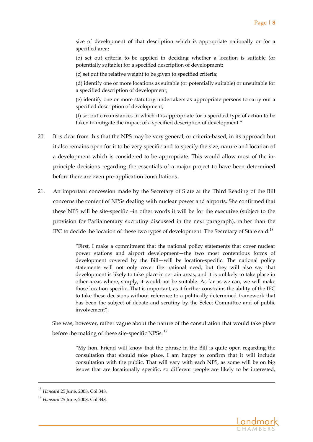size of development of that description which is appropriate nationally or for a specified area;

(b) set out criteria to be applied in deciding whether a location is suitable (or potentially suitable) for a specified description of development;

(c) set out the relative weight to be given to specified criteria;

(d) identify one or more locations as suitable (or potentially suitable) or unsuitable for a specified description of development;

(e) identify one or more statutory undertakers as appropriate persons to carry out a specified description of development;

(f) set out circumstances in which it is appropriate for a specified type of action to be taken to mitigate the impact of a specified description of development."

- 20. It is clear from this that the NPS may be very general, or criteria-based, in its approach but it also remains open for it to be very specific and to specify the size, nature and location of a development which is considered to be appropriate. This would allow most of the in‐ principle decisions regarding the essentials of a major project to have been determined before there are even pre‐application consultations.
- 21. An important concession made by the Secretary of State at the Third Reading of the Bill concerns the content of NPSs dealing with nuclear power and airports. She confirmed that these NPS will be site‐specific –in other words it will be for the executive (subject to the provision for Parliamentary sucrutiny discussed in the next paragraph), rather than the IPC to decide the location of these two types of development. The Secretary of State said:<sup>18</sup>

"First, I make a commitment that the national policy statements that cover nuclear power stations and airport development—the two most contentious forms of development covered by the Bill—will be location‐specific. The national policy statements will not only cover the national need, but they will also say that development is likely to take place in certain areas, and it is unlikely to take place in other areas where, simply, it would not be suitable. As far as we can, we will make those location‐specific. That is important, as it further constrains the ability of the IPC to take these decisions without reference to a politically determined framework that has been the subject of debate and scrutiny by the Select Committee and of public involvement".

She was, however, rather vague about the nature of the consultation that would take place before the making of these site-specific NPSs:  $19$ 

a de la construcción de la construcción de la construcción de la construcción de la construcción de la construcció<br>La construcción de la construcción de la construcción de la construcción de la construcción de la construcc

"My hon. Friend will know that the phrase in the Bill is quite open regarding the consultation that should take place. I am happy to confirm that it will include consultation with the public. That will vary with each NPS, as some will be on big issues that are locationally specific, so different people are likely to be interested,



<sup>18</sup> *Hansard* <sup>25</sup> June, 2008, Col 348.

<sup>19</sup> *Hansard* <sup>25</sup> June, 2008, Col 348.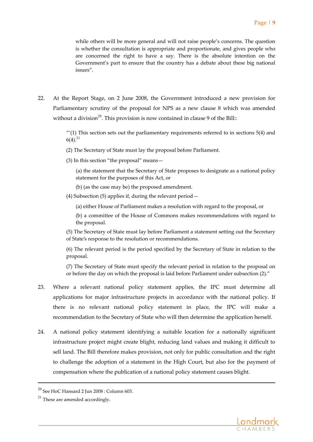while others will be more general and will not raise people's concerns. The question is whether the consultation is appropriate and proportionate, and gives people who are concerned the right to have a say. There is the absolute intention on the Government's part to ensure that the country has a debate about these big national issues".

22. At the Report Stage, on 2 June 2008, the Government introduced a new provision for Parliamentary scrutiny of the proposal for NPS as a new clause 8 which was amended without a division<sup>20</sup>. This provision is now contained in clause 9 of the Bill::

> $''(1)$  This section sets out the parliamentary requirements referred to in sections  $5(4)$  and  $6(4).^{21}$

- (2) The Secretary of State must lay the proposal before Parliament.
- (3) In this section "the proposal" means—

(a) the statement that the Secretary of State proposes to designate as a national policy statement for the purposes of this Act, or

- (b) (as the case may be) the proposed amendment.
- (4) Subsection (5) applies if, during the relevant period—

(a) either House of Parliament makes a resolution with regard to the proposal, or

(b) a committee of the House of Commons makes recommendations with regard to the proposal.

(5) The Secretary of State must lay before Parliament a statement setting out the Secretary of State's response to the resolution or recommendations.

(6) The relevant period is the period specified by the Secretary of State in relation to the proposal.

(7) The Secretary of State must specify the relevant period in relation to the proposal on or before the day on which the proposal is laid before Parliament under subsection (2)."

- 23. Where a relevant national policy statement applies, the IPC must determine all applications for major infrastructure projects in accordance with the national policy. If there is no relevant national policy statement in place, the IPC will make a recommendation to the Secretary of State who will then determine the application herself.
- 24. A national policy statement identifying a suitable location for a nationally significant infrastructure project might create blight, reducing land values and making it difficult to sell land. The Bill therefore makes provision, not only for public consultation and the right to challenge the adoption of a statement in the High Court, but also for the payment of compensation where the publication of a national policy statement causes blight.



 $^{20}$  See HoC Hansard 2 Jun 2008 : Column 603.

 $21$  These are amended accordingly.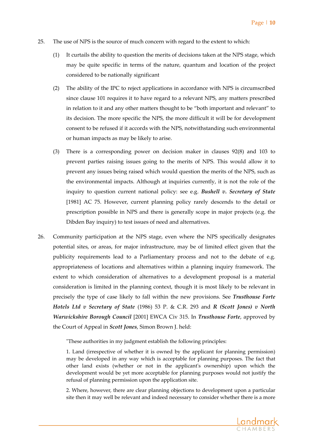- 25. The use of NPS is the source of much concern with regard to the extent to which:
	- (1) It curtails the ability to question the merits of decisions taken at the NPS stage, which may be quite specific in terms of the nature, quantum and location of the project considered to be nationally significant
	- (2) The ability of the IPC to reject applications in accordance with NPS is circumscribed since clause 101 requires it to have regard to a relevant NPS, any matters prescribed in relation to it and any other matters thought to be "both important and relevant" to its decision. The more specific the NPS, the more difficult it will be for development consent to be refused if it accords with the NPS, notwithstanding such environmental or human impacts as may be likely to arise.
	- (3) There is a corresponding power on decision maker in clauses 92(8) and 103 to prevent parties raising issues going to the merits of NPS. This would allow it to prevent any issues being raised which would question the merits of the NPS, such as the environmental impacts. Although at inquiries currently, it is not the role of the inquiry to question current national policy: see e.g. *Bushell v. Secretary of State* [1981] AC 75. However, current planning policy rarely descends to the detail or prescription possible in NPS and there is generally scope in major projects (e.g. the Dibden Bay inquiry) to test issues of need and alternatives.
- 26. Community participation at the NPS stage, even where the NPS specifically designates potential sites, or areas, for major infrastructure, may be of limited effect given that the publicity requirements lead to a Parliamentary process and not to the debate of e.g. appropriateness of locations and alternatives within a planning inquiry framework. The extent to which consideration of alternatives to a development proposal is a material consideration is limited in the planning context, though it is most likely to be relevant in precisely the type of case likely to fall within the new provisions. See *Trusthouse Forte Hotels Ltd v Secretary of State* (1986) 53 P. & C.R. 293 and *R (Scott Jones) v North Warwickshire Borough Council* [2001] EWCA Civ 315. In *Trusthouse Forte*, approved by the Court of Appeal in *Scott Jones*, Simon Brown J. held:

ʺThese authorities in my judgment establish the following principles:

1. Land (irrespective of whether it is owned by the applicant for planning permission) may be developed in any way which is acceptable for planning purposes. The fact that other land exists (whether or not in the applicantʹs ownership) upon which the development would be yet more acceptable for planning purposes would not justify the refusal of planning permission upon the application site.

2. Where, however, there are clear planning objections to development upon a particular site then it may well be relevant and indeed necessary to consider whether there is a more

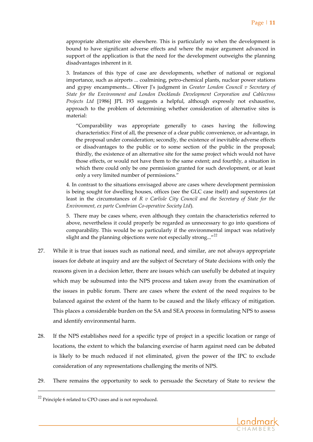appropriate alternative site elsewhere. This is particularly so when the development is bound to have significant adverse effects and where the major argument advanced in support of the application is that the need for the development outweighs the planning disadvantages inherent in it.

3. Instances of this type of case are developments, whether of national or regional importance, such as airports ... coalmining, petro-chemical plants, nuclear power stations and gypsy encampments... Oliver Jʹs judgment in *Greater London Council v Secretary of State for the Environment and London Docklands Development Corporation and Cablecross Projects Ltd* [1986] JPL 193 suggests a helpful, although expressly not exhaustive, approach to the problem of determining whether consideration of alternative sites is material:

"Comparability was appropriate generally to cases having the following characteristics: First of all, the presence of a clear public convenience, or advantage, in the proposal under consideration; secondly, the existence of inevitable adverse effects or disadvantages to the public or to some section of the public in the proposal; thirdly, the existence of an alternative site for the same project which would not have those effects, or would not have them to the same extent; and fourthly, a situation in which there could only be one permission granted for such development, or at least only a very limited number of permissions."

4. In contrast to the situations envisaged above are cases where development permission is being sought for dwelling houses, offices (see the GLC case itself) and superstores (at least in the circumstances of *R v Carlisle City Council and the Secretary of State for the Environment, ex parte Cumbrian Co‐operative Society Ltd*).

5. There may be cases where, even although they contain the characteristics referred to above, nevertheless it could properly be regarded as unnecessary to go into questions of comparability. This would be so particularly if the environmental impact was relatively slight and the planning objections were not especially strong..." $22$ 

- 27. While it is true that issues such as national need, and similar, are not always appropriate issues for debate at inquiry and are the subject of Secretary of State decisions with only the reasons given in a decision letter, there are issues which can usefully be debated at inquiry which may be subsumed into the NPS process and taken away from the examination of the issues in public forum. There are cases where the extent of the need requires to be balanced against the extent of the harm to be caused and the likely efficacy of mitigation. This places a considerable burden on the SA and SEA process in formulating NPS to assess and identify environmental harm.
- 28. If the NPS establishes need for a specific type of project in a specific location or range of locations, the extent to which the balancing exercise of harm against need can be debated is likely to be much reduced if not eliminated, given the power of the IPC to exclude consideration of any representations challenging the merits of NPS.
- 29. There remains the opportunity to seek to persuade the Secretary of State to review the



<sup>&</sup>lt;sup>22</sup> Principle 6 related to CPO cases and is not reproduced.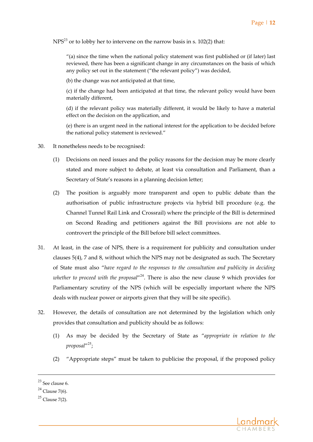$NPS<sup>23</sup>$  or to lobby her to intervene on the narrow basis in s. 102(2) that:

"(a) since the time when the national policy statement was first published or (if later) last reviewed, there has been a significant change in any circumstances on the basis of which any policy set out in the statement ("the relevant policy") was decided,

(b) the change was not anticipated at that time,

(c) if the change had been anticipated at that time, the relevant policy would have been materially different,

(d) if the relevant policy was materially different, it would be likely to have a material effect on the decision on the application, and

(e) there is an urgent need in the national interest for the application to be decided before the national policy statement is reviewed."

- 30. It nonetheless needs to be recognised:
	- (1) Decisions on need issues and the policy reasons for the decision may be more clearly stated and more subject to debate, at least via consultation and Parliament, than a Secretary of State's reasons in a planning decision letter;
	- (2) The position is arguably more transparent and open to public debate than the authorisation of public infrastructure projects via hybrid bill procedure (e.g. the Channel Tunnel Rail Link and Crossrail) where the principle of the Bill is determined on Second Reading and petitioners against the Bill provisions are not able to controvert the principle of the Bill before bill select committees.
- 31. At least, in the case of NPS, there is a requirement for publicity and consultation under clauses 5(4), 7 and 8, without which the NPS may not be designated as such. The Secretary of State must also "*have regard to the responses to the consultation and publicity in deciding whether to proceed with the proposal*"<sup>24</sup>. There is also the new clause 9 which provides for Parliamentary scrutiny of the NPS (which will be especially important where the NPS deals with nuclear power or airports given that they will be site specific).
- 32. However, the details of consultation are not determined by the legislation which only provides that consultation and publicity should be as follows:
	- (1) As may be decided by the Secretary of State as "*appropriate in relation to the proposal*"<sup>25</sup> ;
	- (2) "Appropriate steps" must be taken to publicise the proposal, if the proposed policy



 $^{23}$  See clause 6.

 $24$  Clause 7(6).

 $25$  Clause 7(2).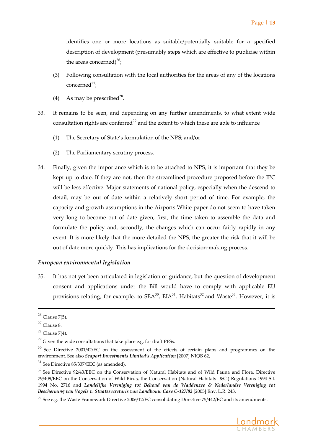identifies one or more locations as suitable/potentially suitable for a specified description of development (presumably steps which are effective to publicise within the areas concerned)<sup>26</sup>;

- (3) Following consultation with the local authorities for the areas of any of the locations  $concerned<sup>27</sup>$ ;
- (4) As may be prescribed<sup>28</sup>.
- 33. It remains to be seen, and depending on any further amendments, to what extent wide consultation rights are conferred<sup>29</sup> and the extent to which these are able to influence
	- (1) The Secretary of State's formulation of the NPS; and/or
	- (2) The Parliamentary scrutiny process.
- 34. Finally, given the importance which is to be attached to NPS, it is important that they be kept up to date. If they are not, then the streamlined procedure proposed before the IPC will be less effective. Major statements of national policy, especially when the descend to detail, may be out of date within a relatively short period of time. For example, the capacity and growth assumptions in the Airports White paper do not seem to have taken very long to become out of date given, first, the time taken to assemble the data and formulate the policy and, secondly, the changes which can occur fairly rapidly in any event. It is more likely that the more detailed the NPS, the greater the risk that it will be out of date more quickly. This has implications for the decision‐making process.

## *European environmental legislation*

35. It has not yet been articulated in legislation or guidance, but the question of development consent and applications under the Bill would have to comply with applicable EU provisions relating, for example, to  $SEA^{30}$ ,  $EIA^{31}$ , Habitats<sup>32</sup> and Waste<sup>33</sup>. However, it is

<sup>&</sup>lt;sup>33</sup> See e.g. the Waste Framework Directive 2006/12/EC consolidating Directive 75/442/EC and its amendments.



 $26$  Clause 7(5).

 $27$  Clause 8.

 $28$  Clause 7(4).

 $^{29}$  Given the wide consultations that take place e.g. for draft PPSs.

<sup>&</sup>lt;sup>30</sup> See Directive 2001/42/EC on the assessment of the effects of certain plans and programmes on the environment. See also *Seaport Investments Limited's Application* [2007] NIQB 62,

 $31$  See Directive 85/337/EEC (as amended).

<sup>&</sup>lt;sup>32</sup> See Directive 92/43/EEC on the Conservation of Natural Habitats and of Wild Fauna and Flora, Directive 79/409/EEC on the Conservation of Wild Birds, the Conservation (Natural Habitats &C.) Regulations 1994 S.I. 1994 No. 2716 and *Landelijke Vereniging tot Behoud van de Waddenzee & Nederlandse Vereniging tot Bescherming van Vogels v. Staatssecretaris van Landbouw Case C‐127/02* [2005] Env. L.R. 243.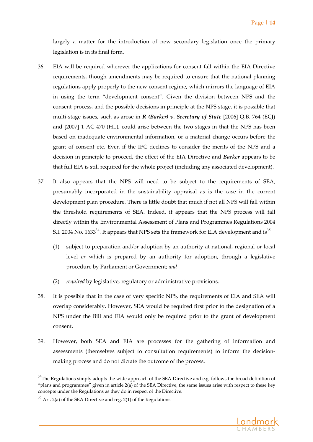largely a matter for the introduction of new secondary legislation once the primary legislation is in its final form.

- 36. EIA will be required wherever the applications for consent fall within the EIA Directive requirements, though amendments may be required to ensure that the national planning regulations apply properly to the new consent regime, which mirrors the language of EIA in using the term "development consent". Given the division between NPS and the consent process, and the possible decisions in principle at the NPS stage, it is possible that multi‐stage issues, such as arose in *R (Barker) v. Secretary of State* [2006] Q.B. 764 (ECJ) and [2007] 1 AC 470 (HL), could arise between the two stages in that the NPS has been based on inadequate environmental information, or a material change occurs before the grant of consent etc. Even if the IPC declines to consider the merits of the NPS and a decision in principle to proceed, the effect of the EIA Directive and *Barker* appears to be that full EIA is still required for the whole project (including any associated development).
- 37. It also appears that the NPS will need to be subject to the requirements of SEA, presumably incorporated in the sustainability appraisal as is the case in the current development plan procedure. There is little doubt that much if not all NPS will fall within the threshold requirements of SEA. Indeed, it appears that the NPS process will fall directly within the Environmental Assessment of Plans and Programmes Regulations 2004 S.I. 2004 No.  $1633^{34}$ . It appears that NPS sets the framework for EIA development and is<sup>35</sup>
	- (1) subject to preparation and/or adoption by an authority at national, regional or local level *or* which is prepared by an authority for adoption, through a legislative procedure by Parliament or Government; *and*
	- (2) *required* by legislative, regulatory or administrative provisions.
- 38. It is possible that in the case of very specific NPS, the requirements of EIA and SEA will overlap considerably. However, SEA would be required first prior to the designation of a NPS under the Bill and EIA would only be required prior to the grant of development consent.
- 39. However, both SEA and EIA are processes for the gathering of information and assessments (themselves subject to consultation requirements) to inform the decision‐ making process and do not dictate the outcome of the process.



<sup>&</sup>lt;sup>34</sup>The Regulations simply adopts the wide approach of the SEA Directive and e.g. follows the broad definition of "plans and programmes" given in article 2(a) of the SEA Directive, the same issues arise with respect to these key concepts under the Regulations as they do in respect of the Directive.

 $35$  Art. 2(a) of the SEA Directive and reg. 2(1) of the Regulations.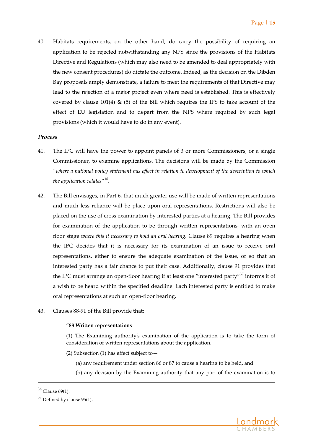40. Habitats requirements, on the other hand, do carry the possibility of requiring an application to be rejected notwithstanding any NPS since the provisions of the Habitats Directive and Regulations (which may also need to be amended to deal appropriately with the new consent procedures) do dictate the outcome. Indeed, as the decision on the Dibden Bay proposals amply demonstrate, a failure to meet the requirements of that Directive may lead to the rejection of a major project even where need is established. This is effectively covered by clause 101(4)  $\&$  (5) of the Bill which requires the IPS to take account of the effect of EU legislation and to depart from the NPS where required by such legal provisions (which it would have to do in any event).

#### *Process*

- 41. The IPC will have the power to appoint panels of 3 or more Commissioners, or a single Commissioner, to examine applications. The decisions will be made by the Commission "*where a national policy statement has effect in relation to development of the description to which the application relates*"<sup>36</sup>.
- 42. The Bill envisages, in Part 6, that much greater use will be made of written representations and much less reliance will be place upon oral representations. Restrictions will also be placed on the use of cross examination by interested parties at a hearing. The Bill provides for examination of the application to be through written representations, with an open floor stage *where this it necessary to hold an oral hearing.* Clause 89 requires a hearing when the IPC decides that it is necessary for its examination of an issue to receive oral representations, either to ensure the adequate examination of the issue, or so that an interested party has a fair chance to put their case. Additionally, clause 91 provides that the IPC must arrange an open-floor hearing if at least one "interested party"<sup>37</sup> informs it of a wish to be heard within the specified deadline. Each interested party is entitled to make oral representations at such an open‐floor hearing.
- 43. Clauses 88‐91 of the Bill provide that:

#### "**88 Written representations**

(1) The Examining authority's examination of the application is to take the form of consideration of written representations about the application.

- (2) Subsection (1) has effect subject to—
	- (a) any requirement under section 86 or 87 to cause a hearing to be held, and

a de la construcción de la construcción de la construcción de la construcción de la construcción de la construcció<br>La construcción de la construcción de la construcción de la construcción de la construcción de la construcc

(b) any decision by the Examining authority that any part of the examination is to



<sup>36</sup> Clause 69(1).

 $37$  Defined by clause 95(1).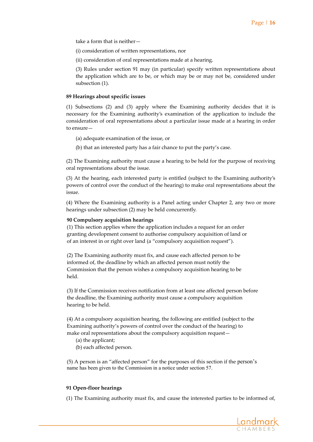take a form that is neither—

(i) consideration of written representations, nor

(ii) consideration of oral representations made at a hearing.

(3) Rules under section 91 may (in particular) specify written representations about the application which are to be, or which may be or may not be, considered under subsection (1).

#### **89 Hearings about specific issues**

(1) Subsections (2) and (3) apply where the Examining authority decides that it is necessary for the Examining authority's examination of the application to include the consideration of oral representations about a particular issue made at a hearing in order to ensure—

(a) adequate examination of the issue, or

(b) that an interested party has a fair chance to put the party's case.

(2) The Examining authority must cause a hearing to be held for the purpose of receiving oral representations about the issue.

(3) At the hearing, each interested party is entitled (subject to the Examining authority's powers of control over the conduct of the hearing) to make oral representations about the issue.

(4) Where the Examining authority is a Panel acting under Chapter 2, any two or more hearings under subsection (2) may be held concurrently.

#### **90 Compulsory acquisition hearings**

(1) This section applies where the application includes a request for an order granting development consent to authorise compulsory acquisition of land or of an interest in or right over land (a "compulsory acquisition request").

(2) The Examining authority must fix, and cause each affected person to be informed of, the deadline by which an affected person must notify the Commission that the person wishes a compulsory acquisition hearing to be held.

(3) If the Commission receives notification from at least one affected person before the deadline, the Examining authority must cause a compulsory acquisition hearing to be held.

(4) At a compulsory acquisition hearing, the following are entitled (subject to the Examining authority's powers of control over the conduct of the hearing) to make oral representations about the compulsory acquisition request—

- (a) the applicant;
- (b) each affected person.

(5) A person is an "affected person" for the purposes of this section if the person's name has been given to the Commission in a notice under section 57.

#### **91 Open‐floor hearings**

(1) The Examining authority must fix, and cause the interested parties to be informed of,

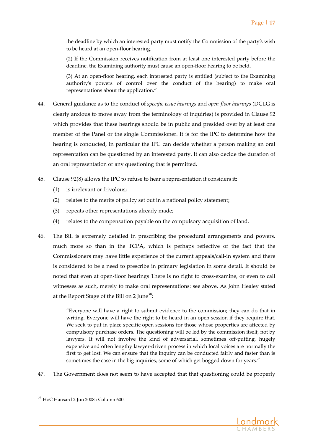the deadline by which an interested party must notify the Commission of the party's wish to be heard at an open‐floor hearing.

(2) If the Commission receives notification from at least one interested party before the deadline, the Examining authority must cause an open‐floor hearing to be held.

(3) At an open‐floor hearing, each interested party is entitled (subject to the Examining authority's powers of control over the conduct of the hearing) to make oral representations about the application."

- 44. General guidance as to the conduct of *specific issue hearings* and *open‐floor hearings* (DCLG is clearly anxious to move away from the terminology of inquiries) is provided in Clause 92 which provides that these hearings should be in public and presided over by at least one member of the Panel or the single Commissioner. It is for the IPC to determine how the hearing is conducted, in particular the IPC can decide whether a person making an oral representation can be questioned by an interested party. It can also decide the duration of an oral representation or any questioning that is permitted.
- 45. Clause 92(8) allows the IPC to refuse to hear a representation it considers it:
	- (1) is irrelevant or frivolous;
	- (2) relates to the merits of policy set out in a national policy statement;
	- (3) repeats other representations already made;
	- (4) relates to the compensation payable on the compulsory acquisition of land.
- 46. The Bill is extremely detailed in prescribing the procedural arrangements and powers, much more so than in the TCPA, which is perhaps reflective of the fact that the Commissioners may have little experience of the current appeals/call‐in system and there is considered to be a need to prescribe in primary legislation in some detail. It should be noted that even at open‐floor hearings There is no right to cross‐examine, or even to call witnesses as such, merely to make oral representations: see above. As John Healey stated at the Report Stage of the Bill on 2 June<sup>38</sup>:

"Everyone will have a right to submit evidence to the commission; they can do that in writing. Everyone will have the right to be heard in an open session if they require that. We seek to put in place specific open sessions for those whose properties are affected by compulsory purchase orders. The questioning will be led by the commission itself, not by lawyers. It will not involve the kind of adversarial, sometimes off‐putting, hugely expensive and often lengthy lawyer‐driven process in which local voices are normally the first to get lost. We can ensure that the inquiry can be conducted fairly and faster than is sometimes the case in the big inquiries, some of which get bogged down for years."

47. The Government does not seem to have accepted that that questioning could be properly



<sup>38</sup> HoC Hansard <sup>2</sup> Jun <sup>2008</sup> : Column 600.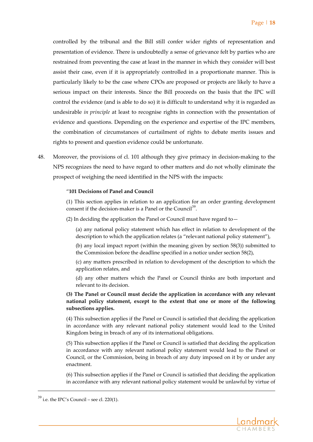controlled by the tribunal and the Bill still confer wider rights of representation and presentation of evidence. There is undoubtedly a sense of grievance felt by parties who are restrained from preventing the case at least in the manner in which they consider will best assist their case, even if it is appropriately controlled in a proportionate manner. This is particularly likely to be the case where CPOs are proposed or projects are likely to have a serious impact on their interests. Since the Bill proceeds on the basis that the IPC will control the evidence (and is able to do so) it is difficult to understand why it is regarded as undesirable *in principle* at least to recognise rights in connection with the presentation of evidence and questions. Depending on the experience and expertise of the IPC members, the combination of circumstances of curtailment of rights to debate merits issues and rights to present and question evidence could be unfortunate.

48. Moreover, the provisions of cl. 101 although they give primacy in decision-making to the NPS recognizes the need to have regard to other matters and do not wholly eliminate the prospect of weighing the need identified in the NPS with the impacts:

#### "**101 Decisions of Panel and Council**

(1) This section applies in relation to an application for an order granting development consent if the decision-maker is a Panel or the Council<sup>39</sup>.

(2) In deciding the application the Panel or Council must have regard to—

(a) any national policy statement which has effect in relation to development of the description to which the application relates (a "relevant national policy statement"),

(b) any local impact report (within the meaning given by section 58(3)) submitted to the Commission before the deadline specified in a notice under section 58(2),

(c) any matters prescribed in relation to development of the description to which the application relates, and

(d) any other matters which the Panel or Council thinks are both important and relevant to its decision.

**(3) The Panel or Council must decide the application in accordance with any relevant national policy statement, except to the extent that one or more of the following subsections applies.**

(4) This subsection applies if the Panel or Council is satisfied that deciding the application in accordance with any relevant national policy statement would lead to the United Kingdom being in breach of any of its international obligations.

(5) This subsection applies if the Panel or Council is satisfied that deciding the application in accordance with any relevant national policy statement would lead to the Panel or Council, or the Commission, being in breach of any duty imposed on it by or under any enactment.

(6) This subsection applies if the Panel or Council is satisfied that deciding the application in accordance with any relevant national policy statement would be unlawful by virtue of



 $39$  i.e. the IPC's Council – see cl. 220(1).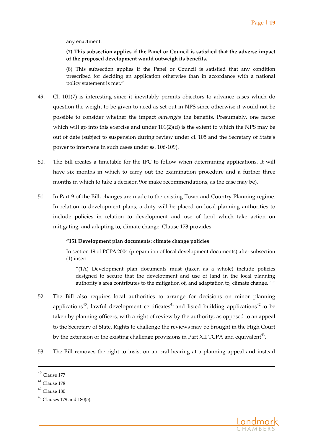any enactment.

**(7) This subsection applies if the Panel or Council is satisfied that the adverse impact of the proposed development would outweigh its benefits.**

(8) This subsection applies if the Panel or Council is satisfied that any condition prescribed for deciding an application otherwise than in accordance with a national policy statement is met."

- 49. Cl. 101(7) is interesting since it inevitably permits objectors to advance cases which do question the weight to be given to need as set out in NPS since otherwise it would not be possible to consider whether the impact *outweighs* the benefits. Presumably, one factor which will go into this exercise and under  $101(2)(d)$  is the extent to which the NPS may be out of date (subject to suspension during review under cl. 105 and the Secretary of State's power to intervene in such cases under ss. 106‐109).
- 50. The Bill creates a timetable for the IPC to follow when determining applications. It will have six months in which to carry out the examination procedure and a further three months in which to take a decision 9or make recommendations, as the case may be).
- 51. In Part 9 of the Bill, changes are made to the existing Town and Country Planning regime. In relation to development plans, a duty will be placed on local planning authorities to include policies in relation to development and use of land which take action on mitigating, and adapting to, climate change. Clause 173 provides:

#### **"151 Development plan documents: climate change policies**

In section 19 of PCPA 2004 (preparation of local development documents) after subsection (1) insert—

"(1A) Development plan documents must (taken as a whole) include policies designed to secure that the development and use of land in the local planning authority's area contributes to the mitigation of, and adaptation to, climate change." "

- 52. The Bill also requires local authorities to arrange for decisions on minor planning applications<sup>40</sup>, lawful development certificates<sup>41</sup> and listed building applications<sup>42</sup> to be taken by planning officers, with a right of review by the authority, as opposed to an appeal to the Secretary of State. Rights to challenge the reviews may be brought in the High Court by the extension of the existing challenge provisions in Part XII TCPA and equivalent<sup>43</sup>.
- 53. The Bill removes the right to insist on an oral hearing at a planning appeal and instead



 $40$  Clause 177

 $41$  Clause 178

 $42$  Clause 180

 $43$  Clauses 179 and 180(5).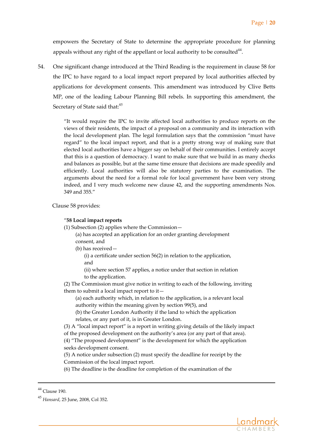empowers the Secretary of State to determine the appropriate procedure for planning appeals without any right of the appellant or local authority to be consulted<sup>44</sup>.

54. One significant change introduced at the Third Reading is the requirement in clause 58 for the IPC to have regard to a local impact report prepared by local authorities affected by applications for development consents. This amendment was introduced by Clive Betts MP, one of the leading Labour Planning Bill rebels. In supporting this amendment, the Secretary of State said that:<sup>45</sup>

> "It would require the IPC to invite affected local authorities to produce reports on the views of their residents, the impact of a proposal on a community and its interaction with the local development plan. The legal formulation says that the commission "must have regard" to the local impact report, and that is a pretty strong way of making sure that elected local authorities have a bigger say on behalf of their communities. I entirely accept that this is a question of democracy. I want to make sure that we build in as many checks and balances as possible, but at the same time ensure that decisions are made speedily and efficiently. Local authorities will also be statutory parties to the examination. The arguments about the need for a formal role for local government have been very strong indeed, and I very much welcome new clause 42, and the supporting amendments Nos. 349 and 355."

Clause 58 provides:

#### "**58 Local impact reports**

(1) Subsection (2) applies where the Commission—

(a) has accepted an application for an order granting development consent, and

(b) has received—

(i) a certificate under section 56(2) in relation to the application, and

(ii) where section 57 applies, a notice under that section in relation to the application.

(2) The Commission must give notice in writing to each of the following, inviting them to submit a local impact report to it—

(a) each authority which, in relation to the application, is a relevant local authority within the meaning given by section 99(5), and

(b) the Greater London Authority if the land to which the application relates, or any part of it, is in Greater London.

(3) A "local impact report" is a report in writing giving details of the likely impact of the proposed development on the authority's area (or any part of that area). (4) "The proposed development" is the development for which the application seeks development consent.

(5) A notice under subsection (2) must specify the deadline for receipt by the Commission of the local impact report.

a de la construcción de la construcción de la construcción de la construcción de la construcción de la construcció<br>La construcción de la construcción de la construcción de la construcción de la construcción de la construcc

(6) The deadline is the deadline for completion of the examination of the



<sup>44</sup> Clause 190.

<sup>45</sup> *Hansard*, <sup>25</sup> June, 2008, Col 352.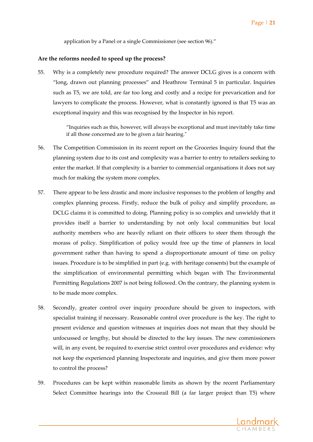application by a Panel or a single Commissioner (see section 96)."

#### **Are the reforms needed to speed up the process?**

55. Why is a completely new procedure required? The answer DCLG gives is a concern with "long, drawn out planning processes" and Heathrow Terminal 5 in particular. Inquiries such as T5, we are told, are far too long and costly and a recipe for prevarication and for lawyers to complicate the process. However, what is constantly ignored is that T5 was an exceptional inquiry and this was recognised by the Inspector in his report.

> "Inquiries such as this, however, will always be exceptional and must inevitably take time if all those concerned are to be given a fair hearing."

- 56. The Competition Commission in its recent report on the Groceries Inquiry found that the planning system due to its cost and complexity was a barrier to entry to retailers seeking to enter the market. If that complexity is a barrier to commercial organisations it does not say much for making the system more complex.
- 57. There appear to be less drastic and more inclusive responses to the problem of lengthy and complex planning process. Firstly, reduce the bulk of policy and simplify procedure, as DCLG claims it is committed to doing. Planning policy is so complex and unwieldy that it provides itself a barrier to understanding by not only local communities but local authority members who are heavily reliant on their officers to steer them through the morass of policy. Simplification of policy would free up the time of planners in local government rather than having to spend a disproportionate amount of time on policy issues. Procedure is to be simplified in part (e.g. with heritage consents) but the example of the simplification of environmental permitting which began with The Environmental Permitting Regulations 2007 is not being followed. On the contrary, the planning system is to be made more complex.
- 58. Secondly, greater control over inquiry procedure should be given to inspectors, with specialist training if necessary. Reasonable control over procedure is the key. The right to present evidence and question witnesses at inquiries does not mean that they should be unfocussed or lengthy, but should be directed to the key issues. The new commissioners will, in any event, be required to exercise strict control over procedures and evidence: why not keep the experienced planning Inspectorate and inquiries, and give them more power to control the process?
- 59. Procedures can be kept within reasonable limits as shown by the recent Parliamentary Select Committee hearings into the Crossrail Bill (a far larger project than T5) where

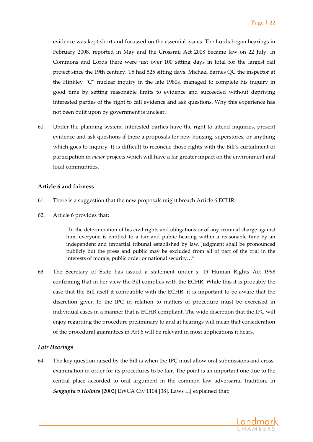evidence was kept short and focussed on the essential issues. The Lords began hearings in February 2008, reported in May and the Crossrail Act 2008 became law on 22 July. In Commons and Lords there were just over 100 sitting days in total for the largest rail project since the 19th century. T5 had 525 sitting days. Michael Barnes QC the inspector at the Hinkley "C" nuclear inquiry in the late 1980s, managed to complete his inquiry in good time by setting reasonable limits to evidence and succeeded without depriving interested parties of the right to call evidence and ask questions. Why this experience has not been built upon by government is unclear.

60. Under the planning system, interested parties have the right to attend inquiries, present evidence and ask questions if there a proposals for new housing, superstores, or anything which goes to inquiry. It is difficult to reconcile those rights with the Bill's curtailment of participation in *major* projects which will have a far greater impact on the environment and local communities.

## **Article 6 and fairness**

- 61. There is a suggestion that the new proposals might breach Article 6 ECHR.
- 62. Article 6 provides that:

"In the determination of his civil rights and obligations or of any criminal charge against him, everyone is entitled to a fair and public hearing within a reasonable time by an independent and impartial tribunal established by law. Judgment shall be pronounced publicly but the press and public may be excluded from all of part of the trial in the interests of morals, public order or national security…"

63. The Secretary of State has issued a statement under s. 19 Human Rights Act 1998 confirming that in her view the Bill complies with the ECHR. While this it is probably the case that the Bill itself it compatible with the ECHR, it is important to be aware that the discretion given to the IPC in relation to matters of procedure must be exercised in individual cases in a manner that is ECHR compliant. The wide discretion that the IPC will enjoy regarding the procedure preliminary to and at hearings will mean that consideration of the procedural guarantees in Art 6 will be relevant in most applications it hears.

# *Fair Hearings*

64. The key question raised by the Bill is when the IPC must allow oral submissions and cross‐ examination in order for its procedures to be fair. The point is an important one due to the central place accorded to oral argument in the common law adversarial tradition. In *Sengupta v Holmes* [2002] EWCA Civ 1104 [38], Laws L.J explained that:

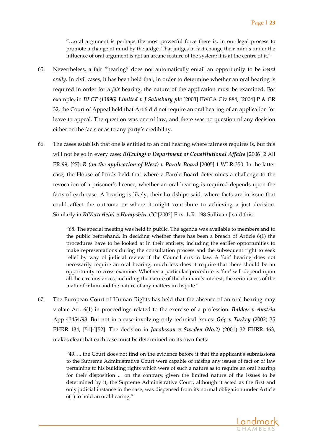"…oral argument is perhaps the most powerful force there is, in our legal process to promote a change of mind by the judge. That judges in fact change their minds under the influence of oral argument is not an arcane feature of the system; it is at the centre of it."

- 65. Nevertheless, a fair "hearing" does not automatically entail an opportunity to be *heard orally*. In civil cases, it has been held that, in order to determine whether an oral hearing is required in order for a *fair* hearing, the nature of the application must be examined. For example, in *BLCT (13096) Limited v J Sainsbury plc* [2003] EWCA Civ 884; [2004] P & CR 32, the Court of Appeal held that Art.6 did not require an oral hearing of an application for leave to appeal. The question was one of law, and there was no question of any decision either on the facts or as to any party's credibility.
- 66. The cases establish that one is entitled to an oral hearing where fairness requires is, but this will not be so in every case: *R(Ewing) v Department of Constitutional Affairs* [2006] 2 All ER 99, [27]; *R (on the application of West) v Parole Board* [2005] 1 WLR 350. In the latter case, the House of Lords held that where a Parole Board determines a challenge to the revocation of a prisoner's licence, whether an oral hearing is required depends upon the facts of each case. A hearing is likely, their Lordships said, where facts are in issue that could affect the outcome or where it might contribute to achieving a just decision. Similarly in *R(Vetterlein) v Hampshire CC* [2002] Env. L.R. 198 Sullivan J said this:

"68. The special meeting was held in public. The agenda was available to members and to the public beforehand. In deciding whether there has been a breach of Article 6(1) the procedures have to be looked at in their entirety, including the earlier opportunities to make representations during the consultation process and the subsequent right to seek relief by way of judicial review if the Council errs in law. A 'fair' hearing does not necessarily require an oral hearing, much less does it require that there should be an opportunity to cross‐examine. Whether a particular procedure is ʹfairʹ will depend upon all the circumstances, including the nature of the claimantʹs interest, the seriousness of the matter for him and the nature of any matters in dispute."

67. The European Court of Human Rights has held that the absence of an oral hearing may violate Art. 6(1) in proceedings related to the exercise of a profession: *Bakker v Austria* App 43454/98. But not in a case involving only technical issues: *Göç v Turkey* (2002) 35 EHRR 134, [51]‐][52]. The decision in *Jacobsson v Sweden (No.2)* (2001) 32 EHRR 463, makes clear that each case must be determined on its own facts:

> "49. ... the Court does not find on the evidence before it that the applicantʹs submissions to the Supreme Administrative Court were capable of raising any issues of fact or of law pertaining to his building rights which were of such a nature as to require an oral hearing for their disposition ... on the contrary, given the limited nature of the issues to be determined by it, the Supreme Administrative Court, although it acted as the first and only judicial instance in the case, was dispensed from its normal obligation under Article 6(1) to hold an oral hearing."

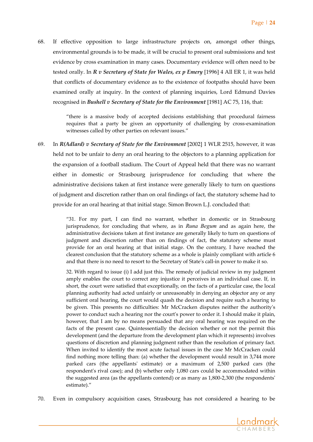68. If effective opposition to large infrastructure projects on, amongst other things, environmental grounds is to be made, it will be crucial to present oral submissions and test evidence by cross examination in many cases. Documentary evidence will often need to be tested orally. In *R v Secretary of State for Wales, ex p Emery* [1996] 4 All ER 1, it was held that conflicts of documentary evidence as to the existence of footpaths should have been examined orally at inquiry. In the context of planning inquiries, Lord Edmund Davies recognised in *Bushell v Secretary of State for the Environment* [1981] AC 75, 116, that:

> "there is a massive body of accepted decisions establishing that procedural fairness requires that a party be given an opportunity of challenging by cross-examination witnesses called by other parties on relevant issues."

69. In *R(Adlard) v Secretary of State for the Environment* [2002] 1 WLR 2515, however, it was held not to be unfair to deny an oral hearing to the objectors to a planning application for the expansion of a football stadium. The Court of Appeal held that there was no warrant either in domestic or Strasbourg jurisprudence for concluding that where the administrative decisions taken at first instance were generally likely to turn on questions of judgment and discretion rather than on oral findings of fact, the statutory scheme had to provide for an oral hearing at that initial stage. Simon Brown L.J. concluded that:

> "31. For my part, I can find no warrant, whether in domestic or in Strasbourg jurisprudence, for concluding that where, as in *Runa Begum* and as again here, the administrative decisions taken at first instance are generally likely to turn on questions of judgment and discretion rather than on findings of fact, the statutory scheme must provide for an oral hearing at that initial stage. On the contrary, I have reached the clearest conclusion that the statutory scheme as a whole is plainly compliant with article 6 and that there is no need to resort to the Secretary of Stateʹs call‐in power to make it so.

> 32. With regard to issue (i) I add just this. The remedy of judicial review in my judgment amply enables the court to correct any injustice it perceives in an individual case. If, in short, the court were satisfied that exceptionally, on the facts of a particular case, the local planning authority had acted unfairly or unreasonably in denying an objector any or any sufficient oral hearing, the court would quash the decision and require such a hearing to be given. This presents no difficulties: Mr McCracken disputes neither the authorityʹs power to conduct such a hearing nor the court's power to order it. I should make it plain, however, that I am by no means persuaded that any oral hearing was required on the facts of the present case. Quintessentially the decision whether or not the permit this development (and the departure from the development plan which it represents) involves questions of discretion and planning judgment rather than the resolution of primary fact. When invited to identify the most acute factual issues in the case Mr McCracken could find nothing more telling than: (a) whether the development would result in 3,744 more parked cars (the appellantsʹ estimate) or a maximum of 2,500 parked cars (the respondent's rival case); and (b) whether only 1,080 cars could be accommodated within the suggested area (as the appellants contend) or as many as  $1,800-2,300$  (the respondents' estimate)."

70. Even in compulsory acquisition cases, Strasbourg has not considered a hearing to be